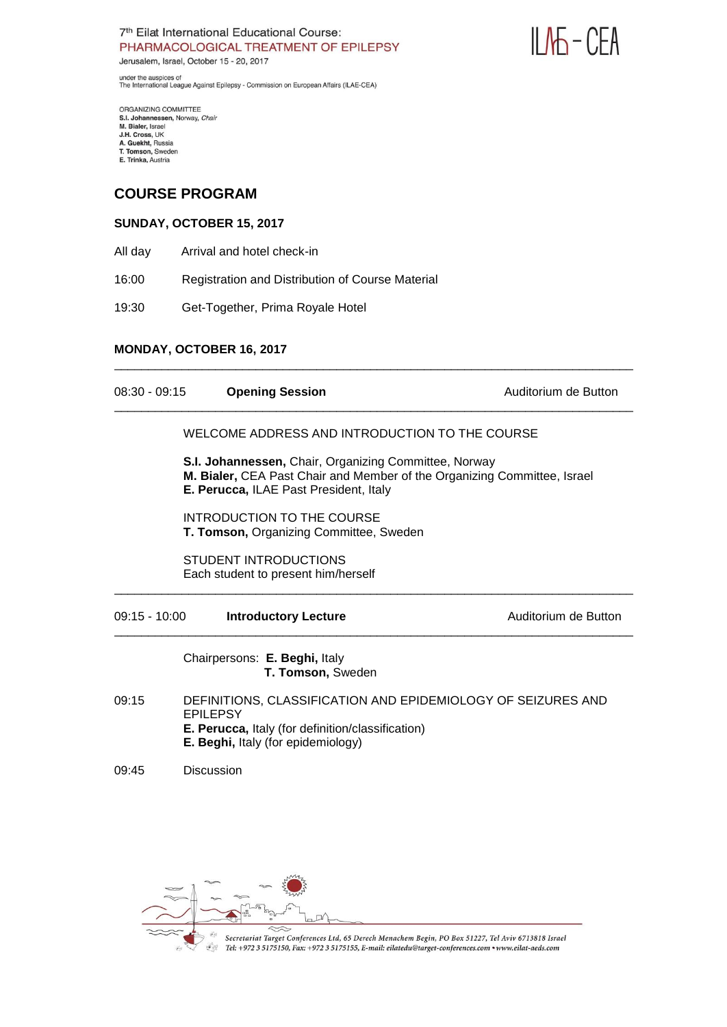

under the auspices of<br>The International League Against Epilepsy - Commission on European Affairs (ILAE-CEA)

ORGANIZING COMMITTEE<br>S.I. Johannessen, Norway, *Chair*<br>M. Bialer, Israel<br>J.H. Cross, UK A. Guekht, Russia<br>T. Tomson, Sweden E. Trinka, Austria

# **COURSE PROGRAM**

# **SUNDAY, OCTOBER 15, 2017**

- All day Arrival and hotel check-in
- 16:00 Registration and Distribution of Course Material
- 19:30 Get-Together, Prima Royale Hotel

# **MONDAY, OCTOBER 16, 2017**

| $08:30 - 09:15$ | <b>Opening Session</b>                                                                                                                                                             | Auditorium de Button |
|-----------------|------------------------------------------------------------------------------------------------------------------------------------------------------------------------------------|----------------------|
|                 | WELCOME ADDRESS AND INTRODUCTION TO THE COURSE                                                                                                                                     |                      |
|                 | <b>S.I. Johannessen, Chair, Organizing Committee, Norway</b><br>M. Bialer, CEA Past Chair and Member of the Organizing Committee, Israel<br>E. Perucca, ILAE Past President, Italy |                      |
|                 | INTRODUCTION TO THE COURSE<br>T. Tomson, Organizing Committee, Sweden                                                                                                              |                      |
|                 | <b>STUDENT INTRODUCTIONS</b><br>Each student to present him/herself                                                                                                                |                      |
| $09:15 - 10:00$ | <b>Introductory Lecture</b>                                                                                                                                                        | Auditorium de Button |
|                 | Chairpersons: E. Beghi, Italy<br>T. Tomson, Sweden                                                                                                                                 |                      |
| 09:15           | DEFINITIONS, CLASSIFICATION AND EPIDEMIOLOGY OF SEIZURES AND<br><b>EPILEPSY</b><br>E. Perucca, Italy (for definition/classification)<br>E. Beghi, Italy (for epidemiology)         |                      |

\_\_\_\_\_\_\_\_\_\_\_\_\_\_\_\_\_\_\_\_\_\_\_\_\_\_\_\_\_\_\_\_\_\_\_\_\_\_\_\_\_\_\_\_\_\_\_\_\_\_\_\_\_\_\_\_\_\_\_\_\_\_\_\_\_\_\_\_\_\_\_\_\_\_\_\_\_

09:45 Discussion

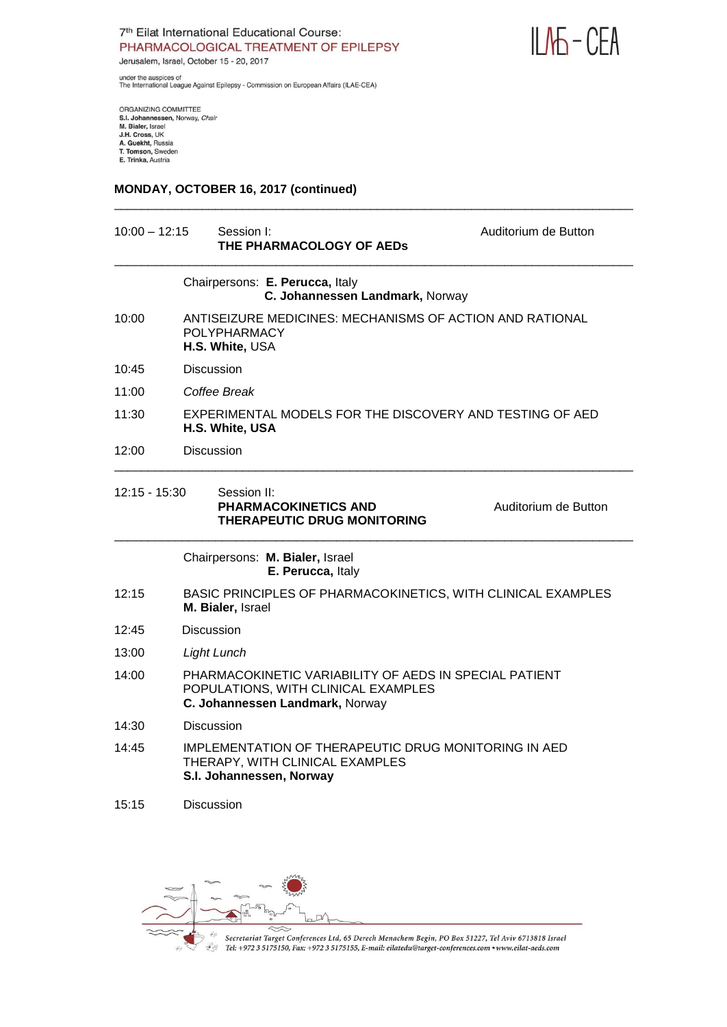

under the auspices of<br>The International League Against Epilepsy - Commission on European Affairs (ILAE-CEA)

ORGANIZING COMMITTEE<br>S.I. Johannessen, Norway, *Chair*<br>M. Bialer, Israel<br>J.H. Cross, UK<br>A. Guekht, Russia<br>T. Tomson, Sweden<br>E. Trinka, Austria

#### **MONDAY, OCTOBER 16, 2017 (continued)**

| $10:00 - 12:15$ | Session I:<br>THE PHARMACOLOGY OF AEDS                                                                                           | Auditorium de Button |
|-----------------|----------------------------------------------------------------------------------------------------------------------------------|----------------------|
|                 | Chairpersons: E. Perucca, Italy<br>C. Johannessen Landmark, Norway                                                               |                      |
| 10:00           | ANTISEIZURE MEDICINES: MECHANISMS OF ACTION AND RATIONAL<br><b>POLYPHARMACY</b><br>H.S. White, USA                               |                      |
| 10:45           | Discussion                                                                                                                       |                      |
| 11:00           | Coffee Break                                                                                                                     |                      |
| 11:30           | EXPERIMENTAL MODELS FOR THE DISCOVERY AND TESTING OF AED<br>H.S. White, USA                                                      |                      |
| 12:00           | <b>Discussion</b>                                                                                                                |                      |
| 12:15 - 15:30   | Session II:<br><b>PHARMACOKINETICS AND</b><br><b>THERAPEUTIC DRUG MONITORING</b>                                                 | Auditorium de Button |
|                 | Chairpersons: M. Bialer, Israel<br>E. Perucca, Italy                                                                             |                      |
| 12:15           | BASIC PRINCIPLES OF PHARMACOKINETICS, WITH CLINICAL EXAMPLES<br>M. Bialer, Israel                                                |                      |
| 12:45           | <b>Discussion</b>                                                                                                                |                      |
| 13:00           | <b>Light Lunch</b>                                                                                                               |                      |
| 14:00           | PHARMACOKINETIC VARIABILITY OF AEDS IN SPECIAL PATIENT<br>POPULATIONS, WITH CLINICAL EXAMPLES<br>C. Johannessen Landmark, Norway |                      |
| 14:30           | <b>Discussion</b>                                                                                                                |                      |
| 14:45           | IMPLEMENTATION OF THERAPEUTIC DRUG MONITORING IN AED<br>THERAPY, WITH CLINICAL EXAMPLES<br>S.I. Johannessen, Norway              |                      |
| 15:15           | <b>Discussion</b>                                                                                                                |                      |

\_\_\_\_\_\_\_\_\_\_\_\_\_\_\_\_\_\_\_\_\_\_\_\_\_\_\_\_\_\_\_\_\_\_\_\_\_\_\_\_\_\_\_\_\_\_\_\_\_\_\_\_\_\_\_\_\_\_\_\_\_\_\_\_\_\_\_\_\_\_\_\_\_\_\_\_\_

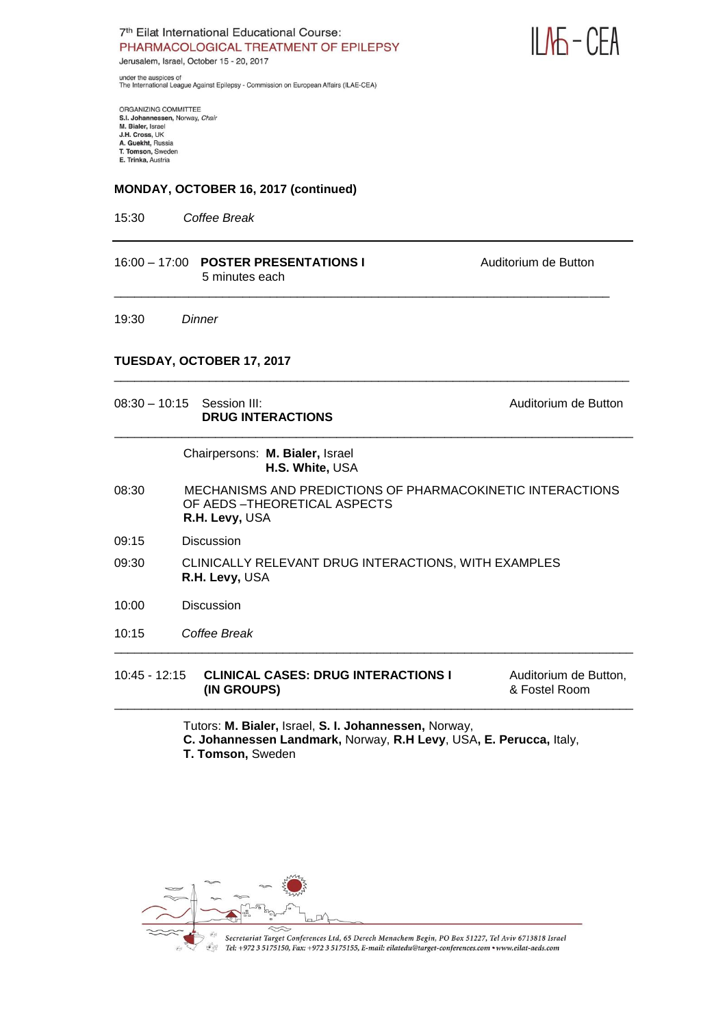

under the auspices of<br>The International League Against Epilepsy - Commission on European Affairs (ILAE-CEA)

ORGANIZING COMMITTEE S.I. Johannessen, Norway, Chair M. Bialer, Israel J.H. Cross, UK A. Guekht, Russia<br>T. Tomson, Sweden E. Trinka, Austria

#### **MONDAY, OCTOBER 16, 2017 (continued)**

15:30 *Coffee Break*

| 16:00 - 17:00 POSTER PRESENTATIONS I<br>5 minutes each | Auditorium de Button |
|--------------------------------------------------------|----------------------|
|                                                        |                      |

\_\_\_\_\_\_\_\_\_\_\_\_\_\_\_\_\_\_\_\_\_\_\_\_\_\_\_\_\_\_\_\_\_\_\_\_\_\_\_\_\_\_\_\_\_\_\_\_\_\_\_\_\_\_\_\_\_\_\_\_\_\_\_\_\_\_\_\_\_\_\_\_\_\_\_\_

19:30 *Dinner*

# **TUESDAY, OCTOBER 17, 2017**

|       | $08:30 - 10:15$ Session III:<br><b>DRUG INTERACTIONS</b>   | Auditorium de Button |
|-------|------------------------------------------------------------|----------------------|
|       | Chairpersons: M. Bialer, Israel<br>H.S. White, USA         |                      |
| 08:30 | MECHANISMS AND PREDICTIONS OF PHARMACOKINETIC INTERACTIONS |                      |

- 08:30MECHANISMS AND PREDICTIONS OF PHARMACOKINETIC INTERACTIONS OF AEDS –THEORETICAL ASPECTS **R.H. Levy,** USA
- 09:15 Discussion
- 09:30 CLINICALLY RELEVANT DRUG INTERACTIONS, WITH EXAMPLES  **R.H. Levy,** USA
- 10:00 Discussion
- 10:15 *Coffee Break*

10:45 - 12:15 **CLINICAL CASES: DRUG INTERACTIONS I** Auditorium de Button, **(IN GROUPS)** & Fostel Room \_\_\_\_\_\_\_\_\_\_\_\_\_\_\_\_\_\_\_\_\_\_\_\_\_\_\_\_\_\_\_\_\_\_\_\_\_\_\_\_\_\_\_\_\_\_\_\_\_\_\_\_\_\_\_\_\_\_\_\_\_\_\_\_\_\_\_\_\_\_\_\_\_\_\_\_\_

\_\_\_\_\_\_\_\_\_\_\_\_\_\_\_\_\_\_\_\_\_\_\_\_\_\_\_\_\_\_\_\_\_\_\_\_\_\_\_\_\_\_\_\_\_\_\_\_\_\_\_\_\_\_\_\_\_\_\_\_\_\_\_\_\_\_\_\_\_\_\_\_\_\_\_\_\_

Tutors: **M. Bialer,** Israel, **S. I. Johannessen,** Norway, **C. Johannessen Landmark,** Norway, **R.H Levy**, USA**, E. Perucca,** Italy, **T. Tomson,** Sweden

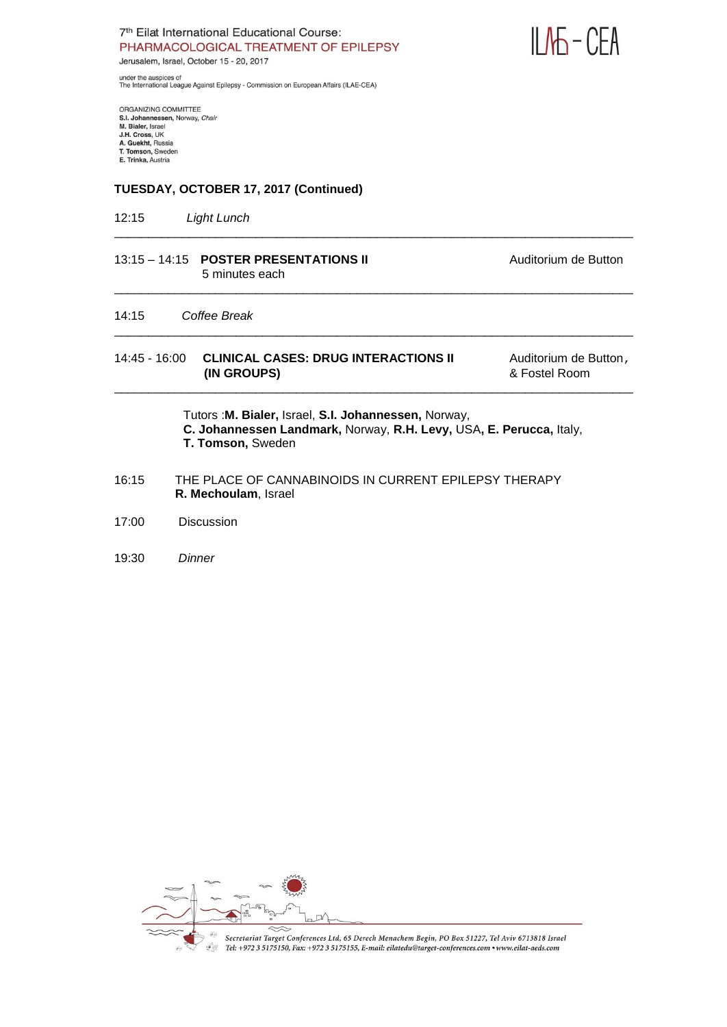

under the auspices of<br>The International League Against Epilepsy - Commission on European Affairs (ILAE-CEA)

ORGANIZING COMMITTEE<br>S.I. Johannessen, Norway, *Chair*<br>M. Bialer, Israel<br>J.H. Cross, UK A. Guekht, Russia<br>T. Tomson, Sweden E. Trinka, Austria

# **TUESDAY, OCTOBER 17, 2017 (Continued)**

12:15 *Light Lunch*

| 5 minutes each                                             | Auditorium de Button                                    |
|------------------------------------------------------------|---------------------------------------------------------|
|                                                            |                                                         |
| <b>CLINICAL CASES: DRUG INTERACTIONS II</b><br>(IN GROUPS) | Auditorium de Button,<br>& Fostel Room                  |
|                                                            | $13:15 - 14:15$ POSTER PRESENTATIONS II<br>Coffee Break |

\_\_\_\_\_\_\_\_\_\_\_\_\_\_\_\_\_\_\_\_\_\_\_\_\_\_\_\_\_\_\_\_\_\_\_\_\_\_\_\_\_\_\_\_\_\_\_\_\_\_\_\_\_\_\_\_\_\_\_\_\_\_\_\_\_\_\_\_\_\_\_\_\_\_\_\_\_

Tutors :**M. Bialer,** Israel, **S.I. Johannessen,** Norway, **C. Johannessen Landmark,** Norway, **R.H. Levy,** USA**, E. Perucca,** Italy, **T. Tomson,** Sweden

- 16:15 THE PLACE OF CANNABINOIDS IN CURRENT EPILEPSY THERAPY  **R. Mechoulam**, Israel
- 17:00 Discussion

#### 19:30 *Dinner*

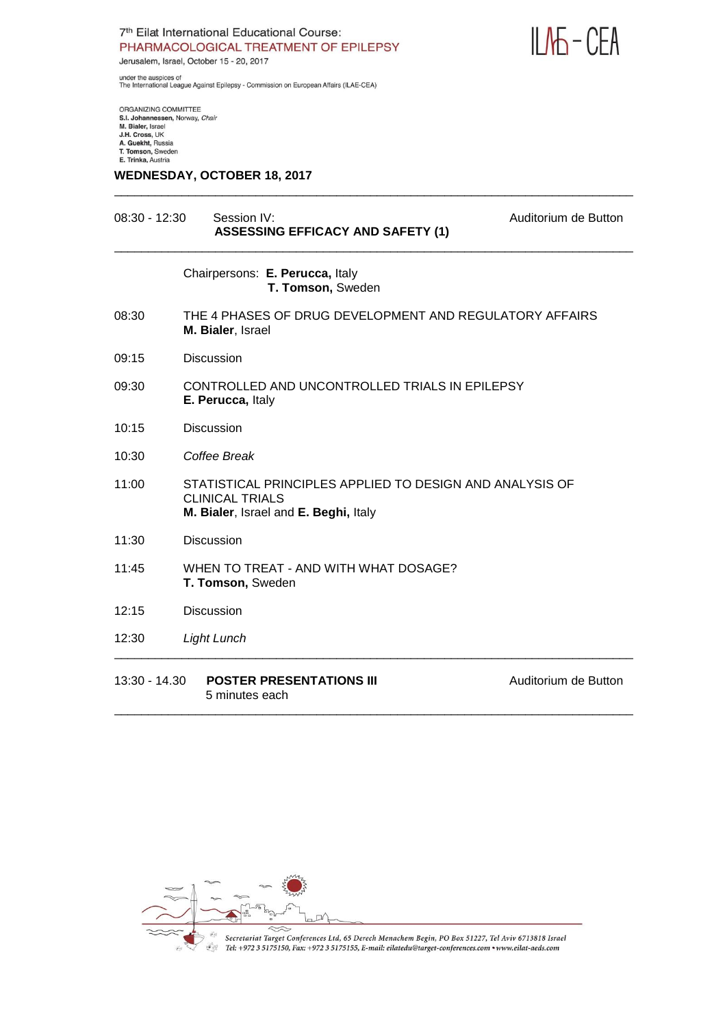

under the auspices of<br>The International League Against Epilepsy - Commission on European Affairs (ILAE-CEA)

ORGANIZING COMMITTEE S.I. Johannessen, Norway, Chair M. Bialer, Israel J.H. Cross, UK A. Guekht, Russia<br>T. Tomson, Sweden E. Trinka, Austria

#### **WEDNESDAY, OCTOBER 18, 2017**

# 08:30 - 12:30 Session IV: Session IV: Auditorium de Button  **ASSESSING EFFICACY AND SAFETY (1)** \_\_\_\_\_\_\_\_\_\_\_\_\_\_\_\_\_\_\_\_\_\_\_\_\_\_\_\_\_\_\_\_\_\_\_\_\_\_\_\_\_\_\_\_\_\_\_\_\_\_\_\_\_\_\_\_\_\_\_\_\_\_\_\_\_\_\_\_\_\_\_\_\_\_\_\_\_ Chairpersons: **E. Perucca,** Italy **T. Tomson,** Sweden 08:30 THE 4 PHASES OF DRUG DEVELOPMENT AND REGULATORY AFFAIRS **M. Bialer**, Israel 09:15 Discussion 09:30 CONTROLLED AND UNCONTROLLED TRIALS IN EPILEPSY **E. Perucca,** Italy 10:15 Discussion 10:30 *Coffee Break* 11:00 STATISTICAL PRINCIPLES APPLIED TO DESIGN AND ANALYSIS OF CLINICAL TRIALS **M. Bialer**, Israel and **E. Beghi,** Italy 11:30 Discussion 11:45 WHEN TO TREAT - AND WITH WHAT DOSAGE? **T. Tomson,** Sweden 12:15 Discussion 12:30 *Light Lunch* \_\_\_\_\_\_\_\_\_\_\_\_\_\_\_\_\_\_\_\_\_\_\_\_\_\_\_\_\_\_\_\_\_\_\_\_\_\_\_\_\_\_\_\_\_\_\_\_\_\_\_\_\_\_\_\_\_\_\_\_\_\_\_\_\_\_\_\_\_\_\_\_\_\_\_\_\_ 13:30 - 14.30 **POSTER PRESENTATIONS III** Auditorium de Button

\_\_\_\_\_\_\_\_\_\_\_\_\_\_\_\_\_\_\_\_\_\_\_\_\_\_\_\_\_\_\_\_\_\_\_\_\_\_\_\_\_\_\_\_\_\_\_\_\_\_\_\_\_\_\_\_\_\_\_\_\_\_\_\_\_\_\_\_\_\_\_\_\_\_\_\_\_

 5 minutes each \_\_\_\_\_\_\_\_\_\_\_\_\_\_\_\_\_\_\_\_\_\_\_\_\_\_\_\_\_\_\_\_\_\_\_\_\_\_\_\_\_\_\_\_\_\_\_\_\_\_\_\_\_\_\_\_\_\_\_\_\_\_\_\_\_\_\_\_\_\_\_\_\_\_\_\_\_

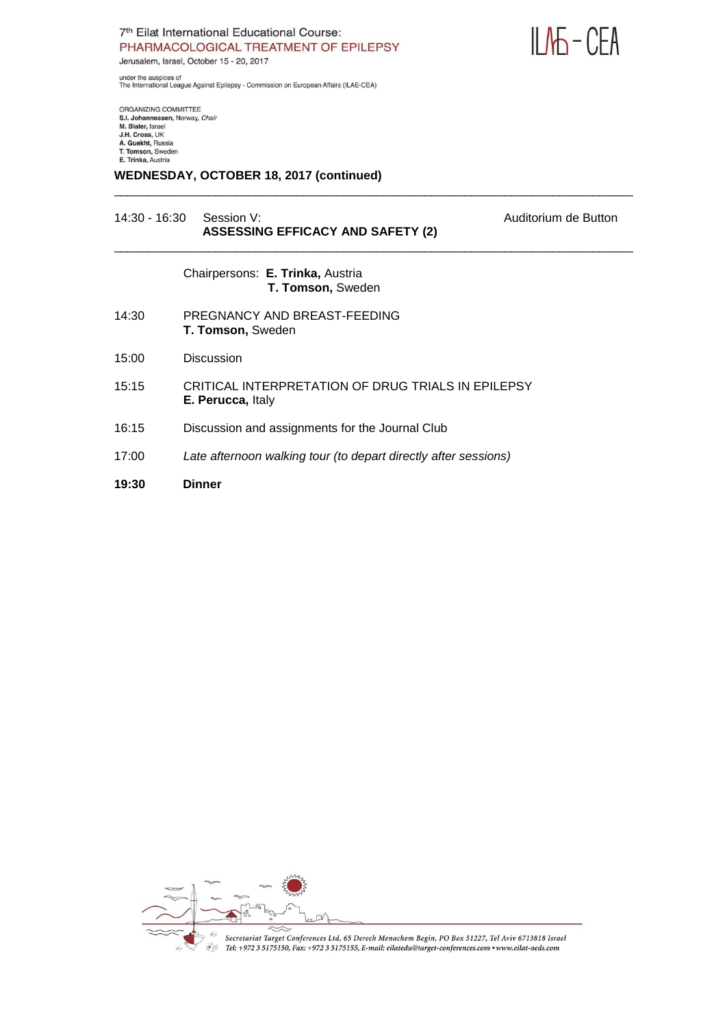

under the auspices of<br>The International League Against Epilepsy - Commission on European Affairs (ILAE-CEA)

ORGANIZING COMMITTEE S.I. Johannessen, Norway, Chair M. Bialer, Israel<br>J.H. Cross, UK A. Guekht, Russia<br>T. Tomson, Sweden E. Trinka, Austria

### **WEDNESDAY, OCTOBER 18, 2017 (continued)**

#### 14:30 - 16:30 Session V: Auditorium de Button  **ASSESSING EFFICACY AND SAFETY (2)**

Chairpersons: **E. Trinka,** Austria  **T. Tomson,** Sweden

- 14:30 PREGNANCY AND BREAST-FEEDING **T. Tomson,** Sweden
- 15:00 Discussion
- 15:15 CRITICAL INTERPRETATION OF DRUG TRIALS IN EPILEPSY **E. Perucca,** Italy

\_\_\_\_\_\_\_\_\_\_\_\_\_\_\_\_\_\_\_\_\_\_\_\_\_\_\_\_\_\_\_\_\_\_\_\_\_\_\_\_\_\_\_\_\_\_\_\_\_\_\_\_\_\_\_\_\_\_\_\_\_\_\_\_\_\_\_\_\_\_\_\_\_\_\_\_\_

\_\_\_\_\_\_\_\_\_\_\_\_\_\_\_\_\_\_\_\_\_\_\_\_\_\_\_\_\_\_\_\_\_\_\_\_\_\_\_\_\_\_\_\_\_\_\_\_\_\_\_\_\_\_\_\_\_\_\_\_\_\_\_\_\_\_\_\_\_\_\_\_\_\_\_\_\_

- 16:15 Discussion and assignments for the Journal Club
- 17:00 *Late afternoon walking tour (to depart directly after sessions)*

#### **19:30 Dinner**

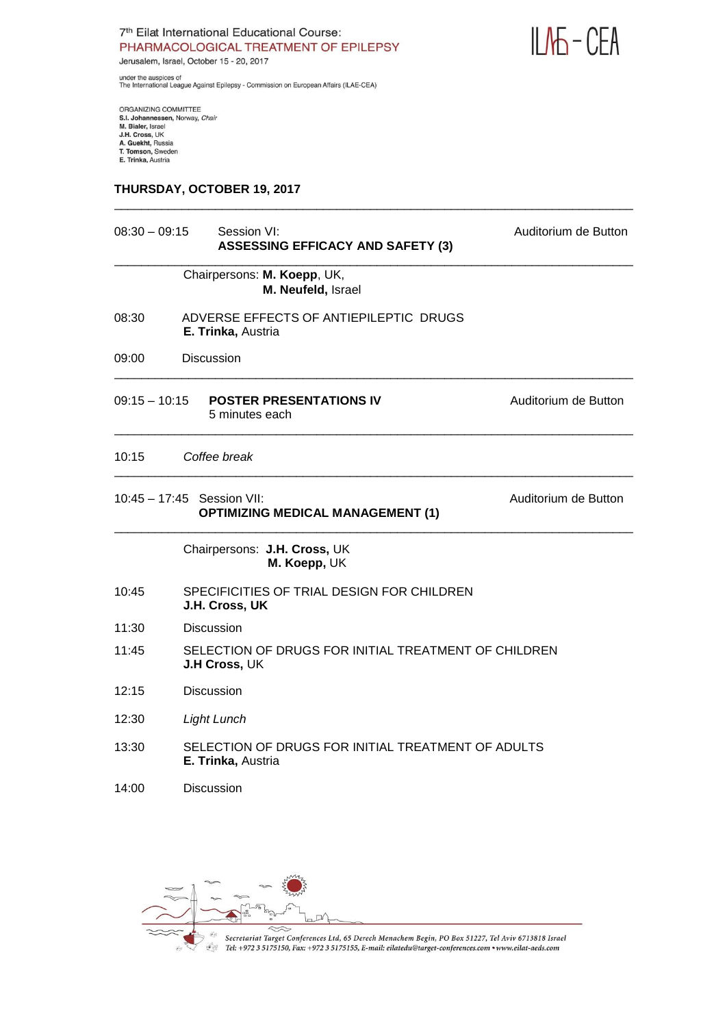



under the auspices of<br>The International League Against Epilepsy - Commission on European Affairs (ILAE-CEA)

ORGANIZING COMMITTEE<br>S.I. Johannessen, Norway, *Chair*<br>M. Bialer, Israel<br>J.H. Cross, UK<br>A. Guekht, Russia<br>T. Tomson, Sweden<br>E. Trinka, Austria

#### **THURSDAY, OCTOBER 19, 2017**

| $08:30 - 09:15$<br>Session VI:<br><b>ASSESSING EFFICACY AND SAFETY (3)</b> |                                                                          | Auditorium de Button |  |
|----------------------------------------------------------------------------|--------------------------------------------------------------------------|----------------------|--|
|                                                                            | Chairpersons: M. Koepp, UK,<br>M. Neufeld, Israel                        |                      |  |
| 08:30                                                                      | ADVERSE EFFECTS OF ANTIEPILEPTIC DRUGS<br>E. Trinka, Austria             |                      |  |
| 09:00                                                                      | <b>Discussion</b>                                                        |                      |  |
| 09:15 – 10:15                                                              | <b>POSTER PRESENTATIONS IV</b><br>5 minutes each                         | Auditorium de Button |  |
| 10:15                                                                      | Coffee break                                                             |                      |  |
|                                                                            | $10:45 - 17:45$ Session VII:<br><b>OPTIMIZING MEDICAL MANAGEMENT (1)</b> | Auditorium de Button |  |
|                                                                            | Chairpersons: J.H. Cross, UK<br>M. Koepp, UK                             |                      |  |
| 10:45                                                                      | SPECIFICITIES OF TRIAL DESIGN FOR CHILDREN<br>J.H. Cross, UK             |                      |  |
| 11:30                                                                      | <b>Discussion</b>                                                        |                      |  |
| 11:45                                                                      | SELECTION OF DRUGS FOR INITIAL TREATMENT OF CHILDREN<br>J.H Cross, UK    |                      |  |
| 12:15                                                                      | <b>Discussion</b>                                                        |                      |  |
| 12:30                                                                      | <b>Light Lunch</b>                                                       |                      |  |
| 13:30                                                                      | SELECTION OF DRUGS FOR INITIAL TREATMENT OF ADULTS<br>E. Trinka, Austria |                      |  |
| 14:00                                                                      | <b>Discussion</b>                                                        |                      |  |

\_\_\_\_\_\_\_\_\_\_\_\_\_\_\_\_\_\_\_\_\_\_\_\_\_\_\_\_\_\_\_\_\_\_\_\_\_\_\_\_\_\_\_\_\_\_\_\_\_\_\_\_\_\_\_\_\_\_\_\_\_\_\_\_\_\_\_\_\_\_\_\_\_\_\_\_\_

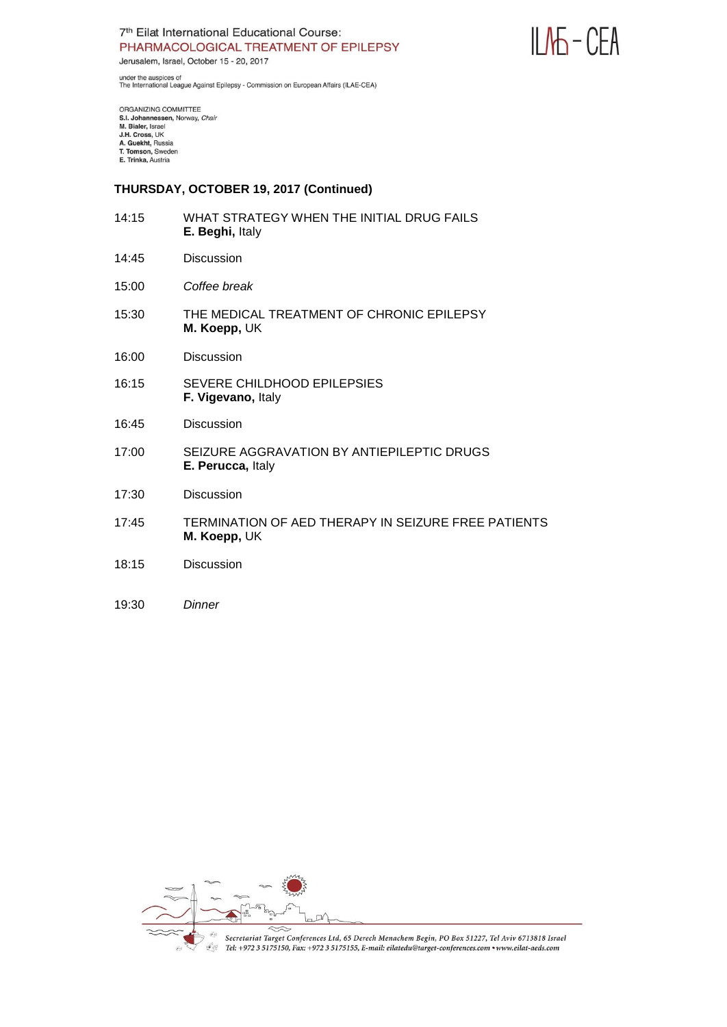



under the auspices of<br>The International League Against Epilepsy - Commission on European Affairs (ILAE-CEA)

ORGANIZING COMMITTEE<br>S.I. Johannessen, Norway, Chair M. Bialer, Israel<br>J.H. Cross, UK A. Guekht, Russia<br>T. Tomson, Sweden E. Trinka, Austria

#### **THURSDAY, OCTOBER 19, 2017 (Continued)**

- 14:15 WHAT STRATEGY WHEN THE INITIAL DRUG FAILS **E. Beghi,** Italy
- 14:45 Discussion
- 15:00 *Coffee break*
- 15:30 THE MEDICAL TREATMENT OF CHRONIC EPILEPSY **M. Koepp,** UK
- 16:00 Discussion
- 16:15 SEVERE CHILDHOOD EPILEPSIES **F. Vigevano,** Italy
- 16:45 Discussion
- 17:00 SEIZURE AGGRAVATION BY ANTIEPILEPTIC DRUGS **E. Perucca,** Italy
- 17:30 Discussion
- 17:45 TERMINATION OF AED THERAPY IN SEIZURE FREE PATIENTS **M. Koepp,** UK
- 18:15 Discussion
- 19:30 *Dinner*

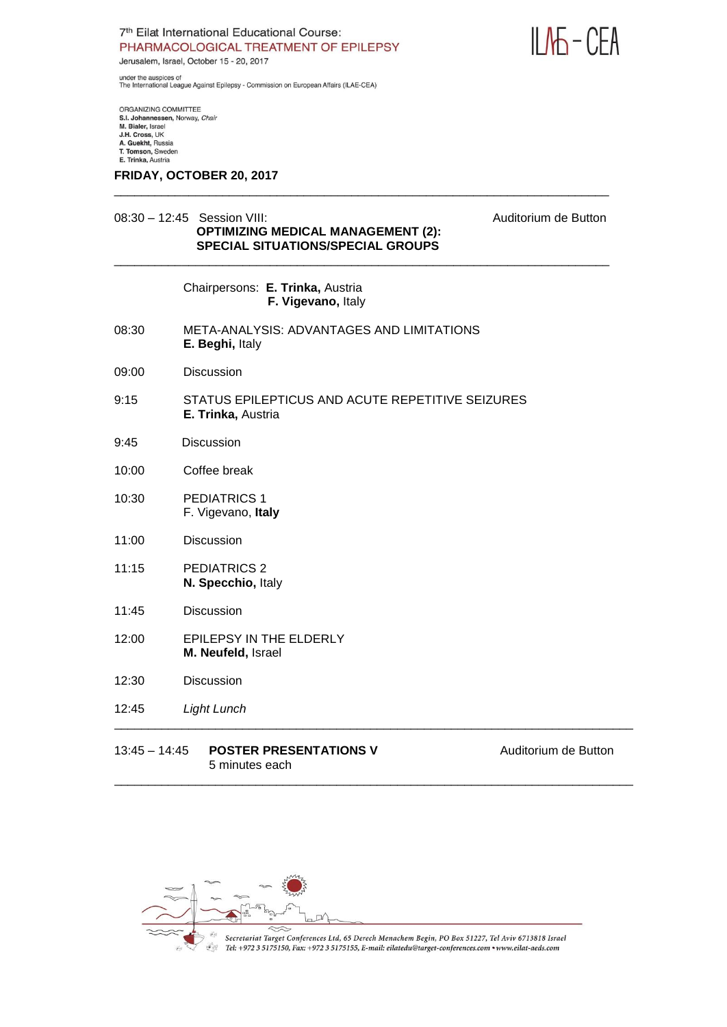

under the auspices of<br>The International League Against Epilepsy - Commission on European Affairs (ILAE-CEA)

ORGANIZING COMMITTEE S.I. Johannessen, Norway, Chair M. Bialer, Israel<br>J.H. Cross, UK A. Guekht, Russia<br>T. Tomson, Sweden E. Trinka, Austria

#### **FRIDAY, OCTOBER 20, 2017**

# 08:30 – 12:45 Session VIII: Auditorium de Button  **OPTIMIZING MEDICAL MANAGEMENT (2): SPECIAL SITUATIONS/SPECIAL GROUPS**

| Chairpersons: E. Trinka, Austria |  |
|----------------------------------|--|
| F. Vigevano, Italy               |  |

- 08:30 META-ANALYSIS: ADVANTAGES AND LIMITATIONS **E. Beghi,** Italy
- 09:00 Discussion
- 9:15 STATUS EPILEPTICUS AND ACUTE REPETITIVE SEIZURES **E. Trinka,** Austria

\_\_\_\_\_\_\_\_\_\_\_\_\_\_\_\_\_\_\_\_\_\_\_\_\_\_\_\_\_\_\_\_\_\_\_\_\_\_\_\_\_\_\_\_\_\_\_\_\_\_\_\_\_\_\_\_\_\_\_\_\_\_\_\_\_\_\_\_\_\_\_\_\_

\_\_\_\_\_\_\_\_\_\_\_\_\_\_\_\_\_\_\_\_\_\_\_\_\_\_\_\_\_\_\_\_\_\_\_\_\_\_\_\_\_\_\_\_\_\_\_\_\_\_\_\_\_\_\_\_\_\_\_\_\_\_\_\_\_\_\_\_\_\_\_\_\_

- 9:45 Discussion
- 10:00 Coffee break
- 10:30 PEDIATRICS 1 F. Vigevano, **Italy**
- 11:00 Discussion
- 11:15 PEDIATRICS 2 **N. Specchio,** Italy
- 11:45 Discussion
- 12:00 EPILEPSY IN THE ELDERLY **M. Neufeld,** Israel
- 12:30 Discussion
- 12:45 *Light Lunch*

#### 13:45 **POSTER PRESENTATIONS V** Auditorium de Button 5 minutes each



Secretariat Target Conferences Ltd, 65 Derech Menachem Begin, PO Box 51227, Tel Aviv 6713818 Israel Tel: +972 3 5175150, Fax: +972 3 5175155, E-mail: eilatedu@target-conferences.com • www.eilat-aeds.com

\_\_\_\_\_\_\_\_\_\_\_\_\_\_\_\_\_\_\_\_\_\_\_\_\_\_\_\_\_\_\_\_\_\_\_\_\_\_\_\_\_\_\_\_\_\_\_\_\_\_\_\_\_\_\_\_\_\_\_\_\_\_\_\_\_\_\_\_\_\_\_\_\_\_\_\_\_

\_\_\_\_\_\_\_\_\_\_\_\_\_\_\_\_\_\_\_\_\_\_\_\_\_\_\_\_\_\_\_\_\_\_\_\_\_\_\_\_\_\_\_\_\_\_\_\_\_\_\_\_\_\_\_\_\_\_\_\_\_\_\_\_\_\_\_\_\_\_\_\_\_\_\_\_\_